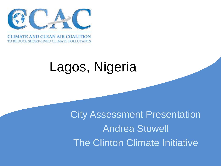

TO REDUCE SHORT-LIVED CLIMATE POLLUTANTS

## Lagos, Nigeria

Ĭ City Assessment Presentation Andrea Stowell The Clinton Climate Initiative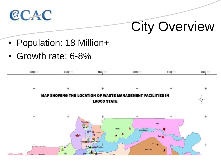

City Overview

- Population: 18 Million+
- Growth rate: 6-8%

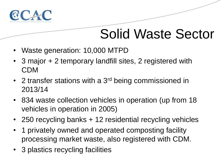

# Solid Waste Sector

- Waste generation: 10,000 MTPD
- 3 major + 2 temporary landfill sites, 2 registered with CDM
- 2 transfer stations with a 3<sup>rd</sup> being commissioned in 2013/14
- 834 waste collection vehicles in operation (up from 18 vehicles in operation in 2005)
- 250 recycling banks + 12 residential recycling vehicles
- 1 privately owned and operated composting facility processing market waste, also registered with CDM.
- 3 plastics recycling facilities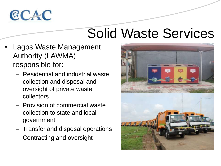

#### Solid Waste Services

- Lagos Waste Management Authority (LAWMA) responsible for:
	- Residential and industrial waste collection and disposal and oversight of private waste collectors
	- Provision of commercial waste collection to state and local government
	- Transfer and disposal operations
	- Contracting and oversight

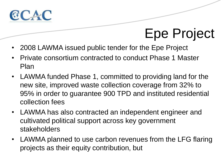

# Epe Project

- 2008 LAWMA issued public tender for the Epe Project
- Private consortium contracted to conduct Phase 1 Master Plan
- LAWMA funded Phase 1, committed to providing land for the new site, improved waste collection coverage from 32% to 95% in order to guarantee 900 TPD and instituted residential collection fees
- LAWMA has also contracted an independent engineer and cultivated political support across key government stakeholders
- LAWMA planned to use carbon revenues from the LFG flaring projects as their equity contribution, but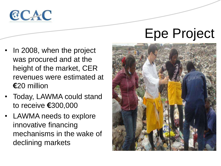

## Epe Project

- In 2008, when the project was procured and at the height of the market, CER revenues were estimated at **€**20 million
- Today, LAWMA could stand to receive **€**300,000
- LAWMA needs to explore innovative financing mechanisms in the wake of declining markets